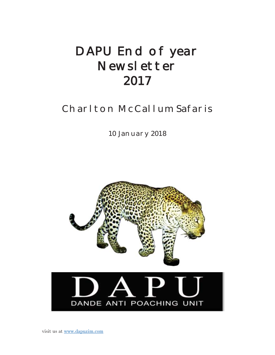# DAPU End of year Newsletter 2017

# Charlton McCallum Safaris

10 January 2018

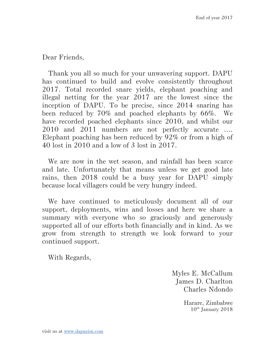Dear Friends,

Thank you all so much for your unwavering support. DAPU has continued to build and evolve consistently throughout 2017. Total recorded snare yields, elephant poaching and illegal netting for the year 2017 are the lowest since the inception of DAPU. To be precise, since 2014 snaring has been reduced by 70% and poached elephants by 66%. We have recorded poached elephants since 2010, and whilst our 2010 and 2011 numbers are not perfectly accurate …. Elephant poaching has been reduced by 92% or from a high of 40 lost in 2010 and a low of 3 lost in 2017.

We are now in the wet season, and rainfall has been scarce and late. Unfortunately that means unless we get good late rains, then 2018 could be a busy year for DAPU simply because local villagers could be very hungry indeed.

We have continued to meticulously document all of our support, deployments, wins and losses and here we share a summary with everyone who so graciously and generously supported all of our efforts both financially and in kind. As we grow from strength to strength we look forward to your continued support.

With Regards,

Myles E. McCallum James D. Charlton Charles Ndondo

> Harare, Zimbabwe  $10^{th}$  January 2018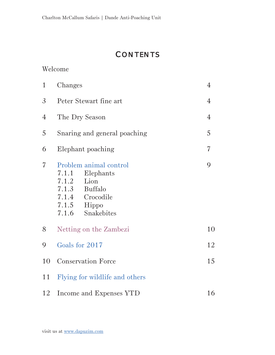# **CONTENTS**

#### Welcome

| $\mathbf{1}$   | Changes                                                                                                                                                 | $\overline{4}$ |
|----------------|---------------------------------------------------------------------------------------------------------------------------------------------------------|----------------|
| $\mathfrak{Z}$ | Peter Stewart fine art                                                                                                                                  | $\overline{4}$ |
| $\overline{4}$ | The Dry Season                                                                                                                                          | $\overline{4}$ |
| 5              | Snaring and general poaching                                                                                                                            | 5              |
| 6              | Elephant poaching                                                                                                                                       | $\overline{7}$ |
| $\overline{7}$ | Problem animal control<br>7.1.1<br>Elephants<br>7.1.2<br>Lion<br>7.1.3<br><b>Buffalo</b><br>7.1.4<br>Crocodile<br>7.1.5<br>Hippo<br>Snakebites<br>7.1.6 | 9              |
| 8              | Netting on the Zambezi                                                                                                                                  | 10             |
| 9              | Goals for 2017                                                                                                                                          | 12             |
| 10             | <b>Conservation Force</b>                                                                                                                               | 15             |
| 11             | Flying for wildlife and others                                                                                                                          |                |
| 12             | Income and Expenses YTD                                                                                                                                 | 16             |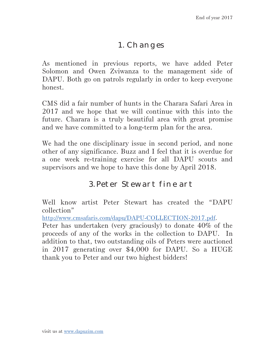### 1. Changes

As mentioned in previous reports, we have added Peter Solomon and Owen Zviwanza to the management side of DAPU. Both go on patrols regularly in order to keep everyone honest.

CMS did a fair number of hunts in the Charara Safari Area in 2017 and we hope that we will continue with this into the future. Charara is a truly beautiful area with great promise and we have committed to a long-term plan for the area.

We had the one disciplinary issue in second period, and none other of any significance. Buzz and I feel that it is overdue for a one week re-training exercise for all DAPU scouts and supervisors and we hope to have this done by April 2018.

### 3. Peter Stewart fine art

Well know artist Peter Stewart has created the "DAPU collection"

http://www.cmsafaris.com/dapu/DAPU-COLLECTION-2017.pdf.

Peter has undertaken (very graciously) to donate 40% of the proceeds of any of the works in the collection to DAPU. In addition to that, two outstanding oils of Peters were auctioned in 2017 generating over \$4,000 for DAPU. So a HUGE thank you to Peter and our two highest bidders!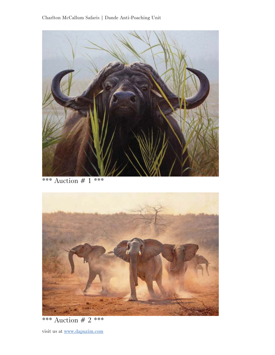

\*\*\* Auction # 1 \*\*\*



\*\*\* Auction # 2 \*\*\*

visit us at www.dapuzim.com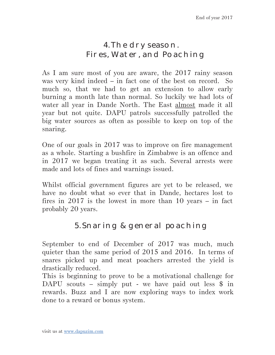## 4. The dry season. Fires, Water, and Poaching

As I am sure most of you are aware, the 2017 rainy season was very kind indeed – in fact one of the best on record. So much so, that we had to get an extension to allow early burning a month late than normal. So luckily we had lots of water all year in Dande North. The East almost made it all year but not quite. DAPU patrols successfully patrolled the big water sources as often as possible to keep on top of the snaring.

One of our goals in 2017 was to improve on fire management as a whole. Starting a bushfire in Zimbabwe is an offence and in 2017 we began treating it as such. Several arrests were made and lots of fines and warnings issued.

Whilst official government figures are yet to be released, we have no doubt what so ever that in Dande, hectares lost to fires in 2017 is the lowest in more than 10 years – in fact probably 20 years.

# 5. Snaring & general poaching

September to end of December of 2017 was much, much quieter than the same period of 2015 and 2016. In terms of snares picked up and meat poachers arrested the yield is drastically reduced.

This is beginning to prove to be a motivational challenge for DAPU scouts – simply put - we have paid out less  $\frac{1}{2}$  in rewards. Buzz and I are now exploring ways to index work done to a reward or bonus system.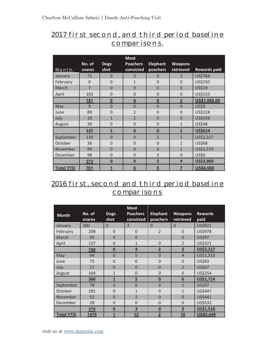#### 2017 first second, and third period baseline comparisons.

|                  |                  |                     | <b>Meat</b>                  |                             |                             |                     |
|------------------|------------------|---------------------|------------------------------|-----------------------------|-----------------------------|---------------------|
| Month.           | No. of<br>snares | <b>Dogs</b><br>shot | <b>Poachers</b><br>convicted | <b>Elephant</b><br>poachers | <b>Weapons</b><br>retrieved | <b>Rewards paid</b> |
| January          | 71               | $\Omega$            | 3                            | 0                           | $\mathcal{P}$               | <b>US\$784</b>      |
| February         | $\Omega$         | $\Omega$            | $\mathbf{1}$                 | $\Omega$                    | $\Omega$                    | US\$150             |
| March            | $\overline{7}$   | $\overline{0}$      | $\overline{0}$               | $\overline{0}$              | $\overline{0}$              | <b>US\$19</b>       |
| April            | 103              | $\Omega$            | $\overline{0}$               | $\overline{0}$              | $\overline{0}$              | US\$133             |
|                  | 181              | $\bf{0}$            | 4                            | $\boldsymbol{0}$            | $\overline{\mathbf{2}}$     | US\$1,086.00        |
| May              | 9                | $\overline{0}$      | $\overline{0}$               | $\overline{0}$              | $\overline{0}$              | <b>US\$9</b>        |
| June             | 89               | $\overline{0}$      | $\overline{2}$               | $\overline{0}$              | $\overline{0}$              | US\$118             |
| July             | 19               | $\mathbf{1}$        | $\overline{\phantom{0}}$     | $\Omega$                    | $\Omega$                    | US\$439             |
| August           | 30               | $\overline{0}$      | $\overline{0}$               | $\overline{0}$              | $\mathbf{1}$                | <b>US\$48</b>       |
|                  | 147              | $\mathbf{1}$        | $\overline{4}$               | $\underline{0}$             | $\overline{1}$              | <b>US\$614</b>      |
| September        | 139              | $\overline{0}$      | $\overline{0}$               | $\overline{2}$              | $\mathbf{1}$                | US\$1,327           |
| October          | 36               | $\overline{0}$      | $\overline{0}$               | $\overline{0}$              | $\mathfrak{D}$              | US\$68              |
| November         | 99               | $\Omega$            | $\Omega$                     | $\Omega$                    | $\mathbf{1}$                | US\$1,574           |
| December         | 99               | $\overline{0}$      | $\overline{0}$               | 3                           | $\Omega$                    | <b>US\$0</b>        |
|                  | 373              | $\bf{0}$            | $\bf{0}$                     | 5                           | 4                           | US\$2,969           |
| <b>Total YTD</b> | 701              | 1                   | 8                            | 5                           | 7                           | <b>US\$4,669</b>    |

### 2016 first, second and third period baseline **comparisons**

|                  |                  |                          | <b>Meat</b>                  |                             |                             |                        |
|------------------|------------------|--------------------------|------------------------------|-----------------------------|-----------------------------|------------------------|
| <b>Month</b>     | No. of<br>snares | <b>Dogs</b><br>shot      | <b>Poachers</b><br>convicted | <b>Elephant</b><br>poachers | <b>Weapons</b><br>retrieved | <b>Rewards</b><br>paid |
| January          | 300              | $\Omega$                 | 3                            | $\Omega$                    | $\Omega$                    | US\$821                |
| February         | 208              | $\overline{0}$           | $\Omega$                     | $\overline{2}$              | $\Omega$                    | <b>US\$978</b>         |
| March            | 95               | $\overline{0}$           | $\overline{0}$               |                             | $\overline{0}$              | <b>US\$97</b>          |
| April            | 137              | $\mathbf 0$              | $\overline{1}$               | $\mathbf 0$                 | $\overline{2}$              | US\$321                |
|                  | 740              | $\underline{\mathbf{0}}$ | $\overline{4}$               | $\overline{2}$              | $\overline{2}$              | US\$2,217              |
| May              | 94               | $\mathbf 0$              | 5                            | $\overline{0}$              | $\overline{4}$              | US\$1,310              |
| June             | 75               | $\mathbf 0$              | $\overline{0}$               | $\mathbf 0$                 | $\overline{0}$              | <b>US\$83</b>          |
| July             | 27               | $\overline{0}$           | $\overline{0}$               | $\overline{0}$              | $\overline{\phantom{0}}$    | <b>US\$67</b>          |
| August           | 164              | $\mathbf{1}$             | $\mathbf 0$                  | $\overline{0}$              | $\overline{0}$              | US\$254                |
|                  | 360              | $\overline{1}$           | $\overline{5}$               | $\underline{\mathbf{0}}$    | $\underline{6}$             | US\$1,714              |
| September        | 78               | $\overline{0}$           | $\mathbf 0$                  | $\overline{0}$              | $\overline{1}$              | <b>US\$97</b>          |
| October          | 181              | $\overline{0}$           | $\mathbf{1}$                 | $\overline{0}$              | $\mathbf{1}$                | US\$447                |
| November         | 92               | $\overline{0}$           | $\overline{2}$               | $\overline{0}$              | $\overline{0}$              | US\$442                |
| December         | 28               | $\overline{0}$           | $\overline{0}$               | $\overline{0}$              | $\Omega$                    | US\$532                |
|                  | 379              | $\underline{\mathbf{0}}$ | $\overline{\mathbf{3}}$      | $\underline{\mathbf{0}}$    | $\overline{2}$              | US\$1,518              |
| <b>Total YTD</b> | 1479             | 1                        | 12                           | $\overline{2}$              | 10                          | US\$5,449              |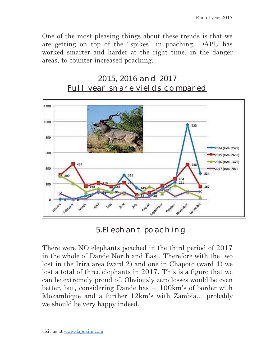One of the most pleasing things about these trends is that we are getting on top of the "spikes" in poaching. DAPU has worked smarter and harder at the right time, in the danger areas, to counter increased poaching.





5.Elephant poaching

There were NO elephants poached in the third period of 2017 in the whole of Dande North and East. Therefore with the two lost in the Irira area (ward 2) and one in Chapoto (ward 1) we lost a total of three elephants in 2017. This is a figure that we can be extremely proud of. Obviously zero losses would be even better, but, considering Dande has + 100km's of border with Mozambique and a further 12km's with Zambia… probably we should be very happy indeed.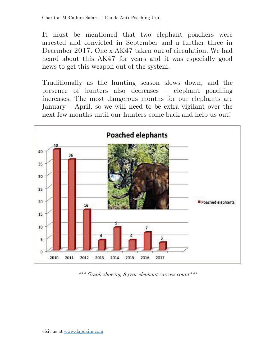It must be mentioned that two elephant poachers were arrested and convicted in September and a further three in December 2017. One x AK47 taken out of circulation. We had heard about this AK47 for years and it was especially good news to get this weapon out of the system.

Traditionally as the hunting season slows down, and the presence of hunters also decreases – elephant poaching increases. The most dangerous months for our elephants are January – April, so we will need to be extra vigilant over the next few months until our hunters come back and help us out!



\*\*\* Graph showing 8 year elephant carcass count\*\*\*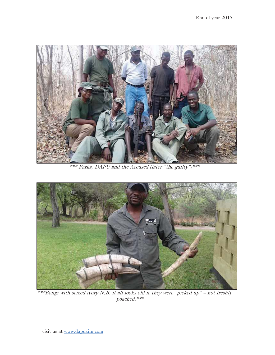

\*\*\* Parks, DAPU and the Accused (later "the guilty")\*\*\*



\*\*\*Bongi with seized ivory N.B. it all looks old ie they were "picked up" – not freshly poached.\*\*\*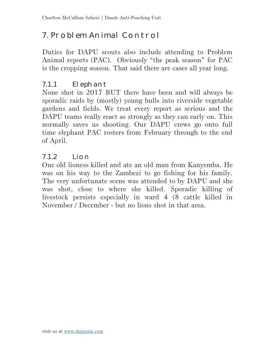# 7. Problem Animal Control

Duties for DAPU scouts also include attending to Problem Animal reports (PAC). Obviously "the peak season" for PAC is the cropping season. That said there are cases all year long.

#### 7.1.1 Elephant

None shot in 2017 BUT there have been and will always be sporadic raids by (mostly) young bulls into riverside vegetable gardens and fields. We treat every report as serious and the DAPU teams really react as strongly as they can early on. This normally saves us shooting. Our DAPU crews go onto full time elephant PAC rosters from February through to the end of April.

#### 7.1.2 Lion

One old lioness killed and ate an old man from Kanyemba. He was on his way to the Zambezi to go fishing for his family. The very unfortunate scene was attended to by DAPU and she was shot, close to where she killed. Sporadic killing of livestock persists especially in ward 4 (8 cattle killed in November / December - but no lions shot in that area.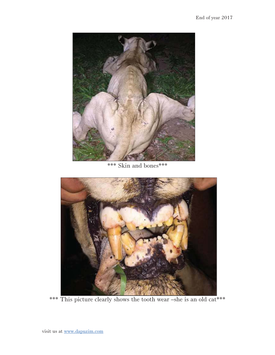

\*\*\* Skin and bones\*\*\*



\*\*\* This picture clearly shows the tooth wear –she is an old cat\*\*\*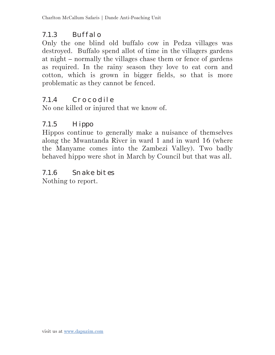#### 7.1.3 Buffalo

Only the one blind old buffalo cow in Pedza villages was destroyed. Buffalo spend allot of time in the villagers gardens at night – normally the villages chase them or fence of gardens as required. In the rainy season they love to eat corn and cotton, which is grown in bigger fields, so that is more problematic as they cannot be fenced.

#### 7.1.4 Crocodile

No one killed or injured that we know of.

### 7.1.5 Hippo

Hippos continue to generally make a nuisance of themselves along the Mwantanda River in ward 1 and in ward 16 (where the Manyame comes into the Zambezi Valley). Two badly behaved hippo were shot in March by Council but that was all.

7.1.6 Snake bites Nothing to report.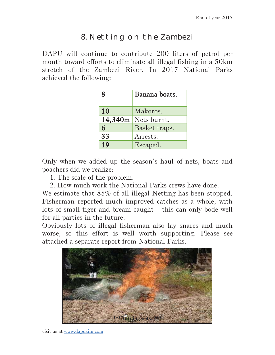# 8. Netting on the Zambezi

DAPU will continue to contribute 200 liters of petrol per month toward efforts to eliminate all illegal fishing in a 50km stretch of the Zambezi River. In 2017 National Parks achieved the following:

| 8       | Banana boats. |
|---------|---------------|
| 10      | Makoros.      |
| 14,340m | Nets burnt.   |
| 6       | Basket traps. |
| 33      | Arrests.      |
| 19      | Escaped.      |

Only when we added up the season's haul of nets, boats and poachers did we realize:

1. The scale of the problem.

2. How much work the National Parks crews have done.

We estimate that 85% of all illegal Netting has been stopped. Fisherman reported much improved catches as a whole, with lots of small tiger and bream caught – this can only bode well for all parties in the future.

Obviously lots of illegal fisherman also lay snares and much worse, so this effort is well worth supporting. Please see attached a separate report from National Parks.



visit us at www.dapuzim.com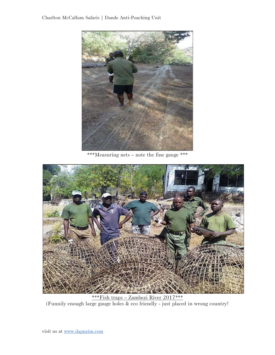#### Charlton McCallum Safaris | Dande Anti-Poaching Unit



\*\*\*Measuring nets – note the fine gauge \*\*\*



\*\*\*Fish traps – Zambezi River 2017\*\*\* (Funnily enough large gauge holes & eco friendly - just placed in wrong country!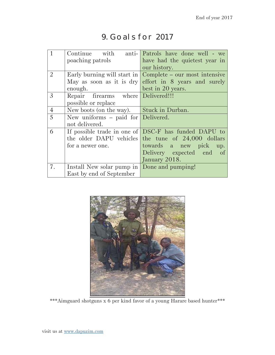# 9. Goals for 2017

|                | poaching patrols                            | Continue with anti- Patrols have done well - we<br>have had the quietest year in |
|----------------|---------------------------------------------|----------------------------------------------------------------------------------|
|                |                                             | our history.                                                                     |
| $\overline{2}$ | Early burning will start in                 | Complete – our most intensive                                                    |
|                | May as soon as it is $\text{dry}$           | effort in 8 years and surely                                                     |
|                | enough.                                     | best in 20 years.                                                                |
| $\mathfrak{Z}$ | Repair firearms where Delivered!!!          |                                                                                  |
|                | possible or replace                         |                                                                                  |
| $\overline{4}$ | New boots (on the way). Stuck in Durban.    |                                                                                  |
| 5              | New uniforms $-$ paid for Delivered.        |                                                                                  |
|                | not delivered.                              |                                                                                  |
| 6              |                                             | If possible trade in one of DSC-F has funded DAPU to                             |
|                |                                             | the older DAPU vehicles the tune of 24,000 dollars                               |
|                | for a newer one.                            | towards a new pick<br>up.                                                        |
|                |                                             | Delivery expected end<br>of                                                      |
|                |                                             | January 2018.                                                                    |
| 7.             | Install New solar pump in Done and pumping! |                                                                                  |
|                | East by end of September                    |                                                                                  |



\*\*\*Aimguard shotguns x 6 per kind favor of a young Harare based hunter\*\*\*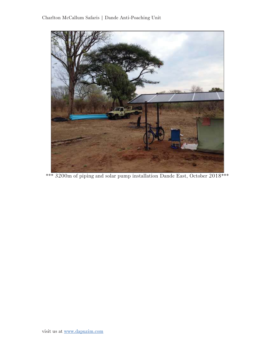

\*\*\* 3200m of piping and solar pump installation Dande East, October 2018\*\*\*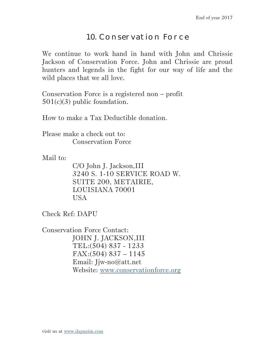# 10. Conservation Force

We continue to work hand in hand with John and Chrissie Jackson of Conservation Force. John and Chrissie are proud hunters and legends in the fight for our way of life and the wild places that we all love.

Conservation Force is a registered non – profit 501(c)(3) public foundation.

How to make a Tax Deductible donation.

Please make a check out to: Conservation Force

Mail to:

C/O John J. Jackson,III 3240 S. 1-10 SERVICE ROAD W. SUITE 200, METAIRIE, LOUISIANA 70001 USA

Check Ref: DAPU

Conservation Force Contact: JOHN J. JACKSON,III TEL :(504) 837 - 1233 FAX :(504) 837 – 1145 Email: Jjw-no@att.net Website: www.conservationforce.org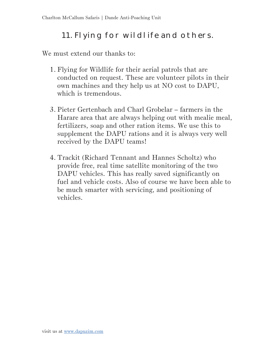# 11. Flying for wildlife and others.

We must extend our thanks to:

- 1. Flying for Wildlife for their aerial patrols that are conducted on request. These are volunteer pilots in their own machines and they help us at NO cost to DAPU, which is tremendous.
- 3. Pieter Gertenbach and Charl Grobelar farmers in the Harare area that are always helping out with mealie meal, fertilizers, soap and other ration items. We use this to supplement the DAPU rations and it is always very well received by the DAPU teams!
- 4. Trackit (Richard Tennant and Hannes Scholtz) who provide free, real time satellite monitoring of the two DAPU vehicles. This has really saved significantly on fuel and vehicle costs. Also of course we have been able to be much smarter with servicing, and positioning of vehicles.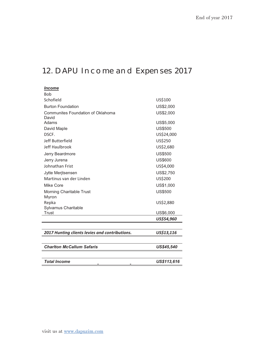# 12. DAPU Income and Expenses 2017

| <i><u><b>Income</b></u></i><br><b>Bob</b>      |                |
|------------------------------------------------|----------------|
| Schofield                                      | US\$100        |
| <b>Burton Foundation</b>                       | US\$2,000      |
| Communites Foundation of Oklahoma              | US\$2,000      |
| David                                          |                |
| Adams                                          | US\$5,000      |
| David Maple                                    | <b>US\$500</b> |
| DSCF.                                          | US\$24,000     |
| Jeff Butterfield                               | US\$250        |
| Jeff Haulbrook                                 | US\$2,680      |
| Jerry Beardmore                                | <b>US\$500</b> |
| Jerry Jurena                                   | <b>US\$600</b> |
| Johnathan Frist                                | US\$4,000      |
| Jytte Merjtsensen                              | US\$2,750      |
| Martinus van der Linden                        | US\$200        |
| Mike Core                                      | US\$1,000      |
| Morning Charitable Trust                       | <b>US\$500</b> |
| Myron                                          |                |
| Repka                                          | US\$2,880      |
| Sylvarnus Charitable                           |                |
| Trust                                          | US\$6,000      |
|                                                | US\$54,960     |
|                                                |                |
| 2017 Hunting clients levies and contributions. | US\$13,116     |
|                                                |                |
| <b>Charlton McCallum Safaris</b>               | US\$45,540     |
|                                                |                |
| <b>Total Income</b>                            | US\$113,616    |